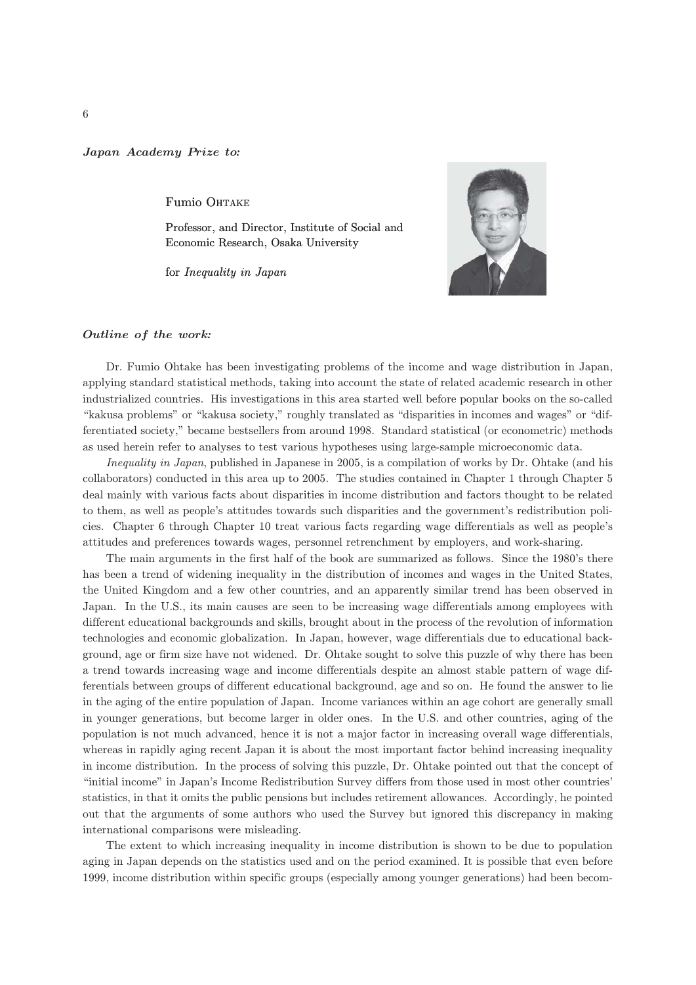## Japan Academy Prize to*:*

Fumio OHTAKE

Professor, and Director, Institute of Social and Economic Research, Osaka University

for Inequality in Japan



## Outline of the work*:*

Dr. Fumio Ohtake has been investigating problems of the income and wage distribution in Japan, applying standard statistical methods, taking into account the state of related academic research in other industrialized countries. His investigations in this area started well before popular books on the so-called "kakusa problems" or "kakusa society," roughly translated as "disparities in incomes and wages" or "differentiated society," became bestsellers from around 1998. Standard statistical (or econometric) methods as used herein refer to analyses to test various hypotheses using large-sample microeconomic data.

Inequality in Japan, published in Japanese in 2005, is a compilation of works by Dr. Ohtake (and his collaborators) conducted in this area up to 2005. The studies contained in Chapter 1 through Chapter 5 deal mainly with various facts about disparities in income distribution and factors thought to be related to them, as well as people's attitudes towards such disparities and the government's redistribution policies. Chapter 6 through Chapter 10 treat various facts regarding wage differentials as well as people's attitudes and preferences towards wages, personnel retrenchment by employers, and work-sharing.

The main arguments in the first half of the book are summarized as follows. Since the 1980's there has been a trend of widening inequality in the distribution of incomes and wages in the United States, the United Kingdom and a few other countries, and an apparently similar trend has been observed in Japan. In the U.S., its main causes are seen to be increasing wage differentials among employees with different educational backgrounds and skills, brought about in the process of the revolution of information technologies and economic globalization. In Japan, however, wage differentials due to educational background, age or firm size have not widened. Dr. Ohtake sought to solve this puzzle of why there has been a trend towards increasing wage and income differentials despite an almost stable pattern of wage differentials between groups of different educational background, age and so on. He found the answer to lie in the aging of the entire population of Japan. Income variances within an age cohort are generally small in younger generations, but become larger in older ones. In the U.S. and other countries, aging of the population is not much advanced, hence it is not a major factor in increasing overall wage differentials, whereas in rapidly aging recent Japan it is about the most important factor behind increasing inequality in income distribution. In the process of solving this puzzle, Dr. Ohtake pointed out that the concept of "initial income" in Japan's Income Redistribution Survey differs from those used in most other countries' statistics, in that it omits the public pensions but includes retirement allowances. Accordingly, he pointed out that the arguments of some authors who used the Survey but ignored this discrepancy in making international comparisons were misleading.

The extent to which increasing inequality in income distribution is shown to be due to population aging in Japan depends on the statistics used and on the period examined. It is possible that even before 1999, income distribution within specific groups (especially among younger generations) had been becom